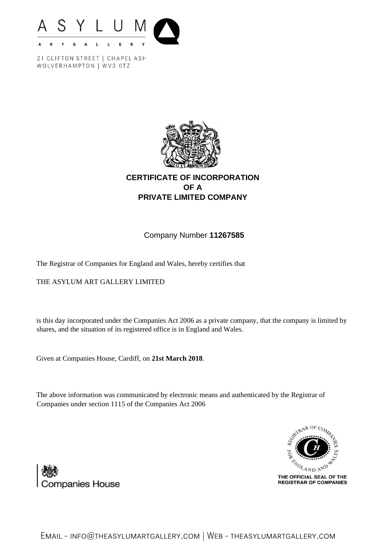



## **CERTIFICATE OF INCORPORATION OF A PRIVATE LIMITED COMPANY**

## Company Number **11267585**

The Registrar of Companies for England and Wales, hereby certifies that

THE ASYLUM ART GALLERY LIMITED

is this day incorporated under the Companies Act 2006 as a private company, that the company is limited by shares, and the situation of its registered office is in England and Wales.

Given at Companies House, Cardiff, on **21st March 2018**.

The above information was communicated by electronic means and authenticated by the Registrar of Companies under section 1115 of the Companies Act 2006





Email - [info@theasylumartgallery.com](mailto:info@theasylumartgallery.com) | Web - theasylumartgallery.com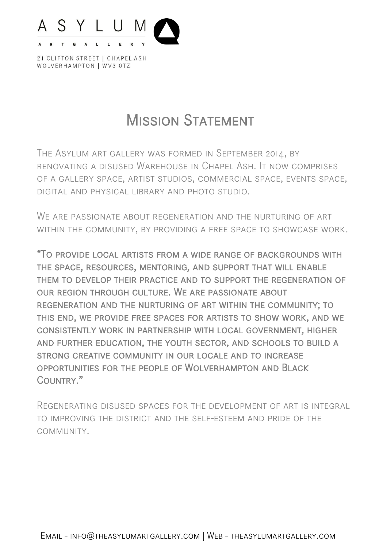

# **MISSION STATEMENT**

The Asylum art gallery was formed in September 2014, by renovating a disused Warehouse in Chapel Ash. It now comprises of a gallery space, artist studios, commercial space, events space, digital and physical library and photo studio.

We are passionate about regeneration and the nurturing of art within the community, by providing a free space to showcase work.

"To provide local artists from a wide range of backgrounds with the space, resources, mentoring, and support that will enable them to develop their practice and to support the regeneration of our region through culture. We are passionate about regeneration and the nurturing of art within the community; to this end, we provide free spaces for artists to show work, and we consistently work in partnership with local government, higher and further education, the youth sector, and schools to build a strong creative community in our locale and to increase opportunities for the people of Wolverhampton and Black Country."

Regenerating disused spaces for the development of art is integral to improving the district and the self-esteem and pride of the community.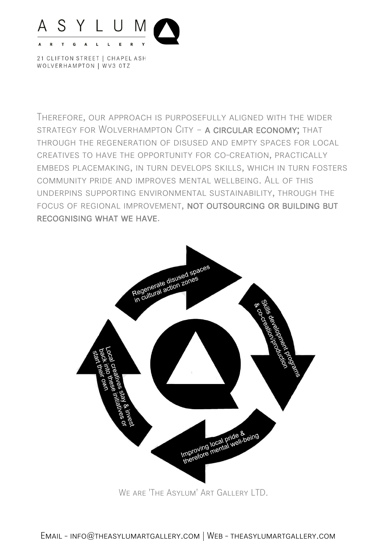

Therefore, our approach is purposefully aligned with the wider strategy for Wolverhampton City – a circular economy; that through the regeneration of disused and empty spaces for local creatives to have the opportunity for co-creation, practically embeds placemaking, in turn develops skills, which in turn fosters community pride and improves mental wellbeing. All of this underpins supporting environmental sustainability, through the focus of regional improvement, not outsourcing or building but recognising what we have.



We are 'The Asylum' Art Gallery LTD.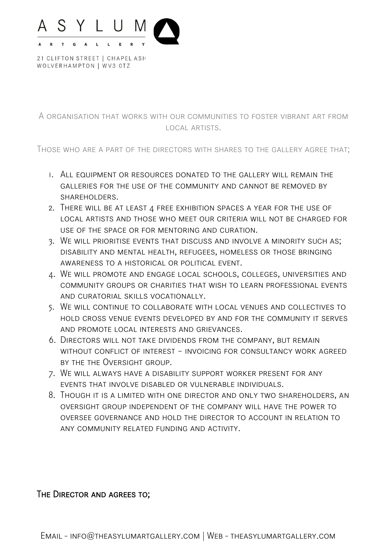

A organisation that works with our communities to foster vibrant art from local artists.

Those who are a part of the directors with shares to the gallery agree that;

- 1. All equipment or resources donated to the gallery will remain the galleries for the use of the community and cannot be removed by SHARFHOLDERS.
- 2. There will be at least 4 free exhibition spaces a year for the use of local artists and those who meet our criteria will not be charged for use of the space or for mentoring and curation.
- 3. We will prioritise events that discuss and involve a minority such as; disability and mental health, refugees, homeless or those bringing awareness to a historical or political event.
- 4. We will promote and engage local schools, colleges, universities and community groups or charities that wish to learn professional events and curatorial skills vocationally.
- 5. We will continue to collaborate with local venues and collectives to hold cross venue events developed by and for the community it serves and promote local interests and grievances.
- 6. Directors will not take dividends from the company, but remain without conflict of interest – invoicing for consultancy work agreed by the the Oversight group.
- 7. We will always have a disability support worker present for any events that involve disabled or vulnerable individuals.
- 8. Though it is a limited with one director and only two shareholders, an oversight group independent of the company will have the power to oversee governance and hold the director to account in relation to any community related funding and activity.

THE DIRECTOR AND AGREES TO;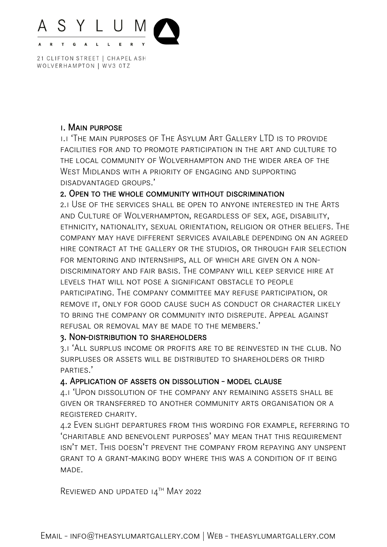

### 1. Main purpose

1.1 'The main purposes of The Asylum Art Gallery LTD is to provide facilities for and to promote participation in the art and culture to the local community of Wolverhampton and the wider area of the West Midlands with a priority of engaging and supporting disadvantaged groups.'

## 2. Open to the whole community without discrimination

2.1 Use of the services shall be open to anyone interested in the Arts and Culture of Wolverhampton, regardless of sex, age, disability, ethnicity, nationality, sexual orientation, religion or other beliefs. The company may have different services available depending on an agreed hire contract at the gallery or the studios, or through fair selection for mentoring and internships, all of which are given on a nondiscriminatory and fair basis. The company will keep service hire at levels that will not pose a significant obstacle to people participating. The company committee may refuse participation, or remove it, only for good cause such as conduct or character likely to bring the company or community into disrepute. Appeal against refusal or removal may be made to the members.'

#### 3. Non-distribution to shareholders

3.1 'All surplus income or profits are to be reinvested in the club. No surpluses or assets will be distributed to shareholders or third parties.'

## 4. Application of assets on dissolution - model clause

4.1 'Upon dissolution of the company any remaining assets shall be given or transferred to another community arts organisation or a registered charity.

4.2 Even slight departures from this wording for example, referring to 'charitable and benevolent purposes' may mean that this requirement isn't met. This doesn't prevent the company from repaying any unspent grant to a grant-making body where this was a condition of it being MADE.

REVIEWED AND UPDATED 14TH MAY 2022